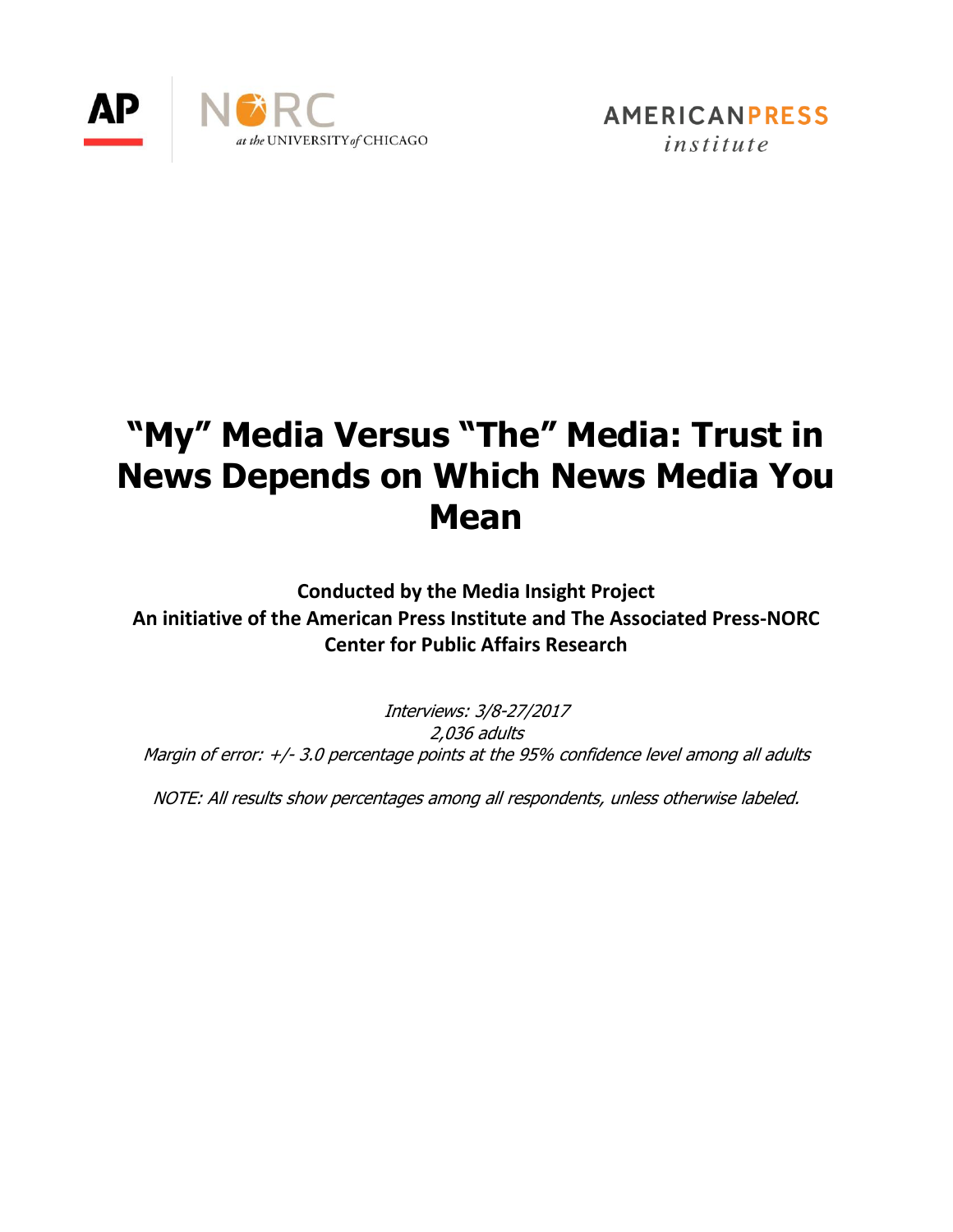

# **"My" Media Versus "The" Media: Trust in News Depends on Which News Media You Mean**

**Conducted by the Media Insight Project An initiative of the American Press Institute and The Associated Press-NORC Center for Public Affairs Research**

Interviews: 3/8-27/2017 2,036 adults Margin of error: +/- 3.0 percentage points at the 95% confidence level among all adults

NOTE: All results show percentages among all respondents, unless otherwise labeled.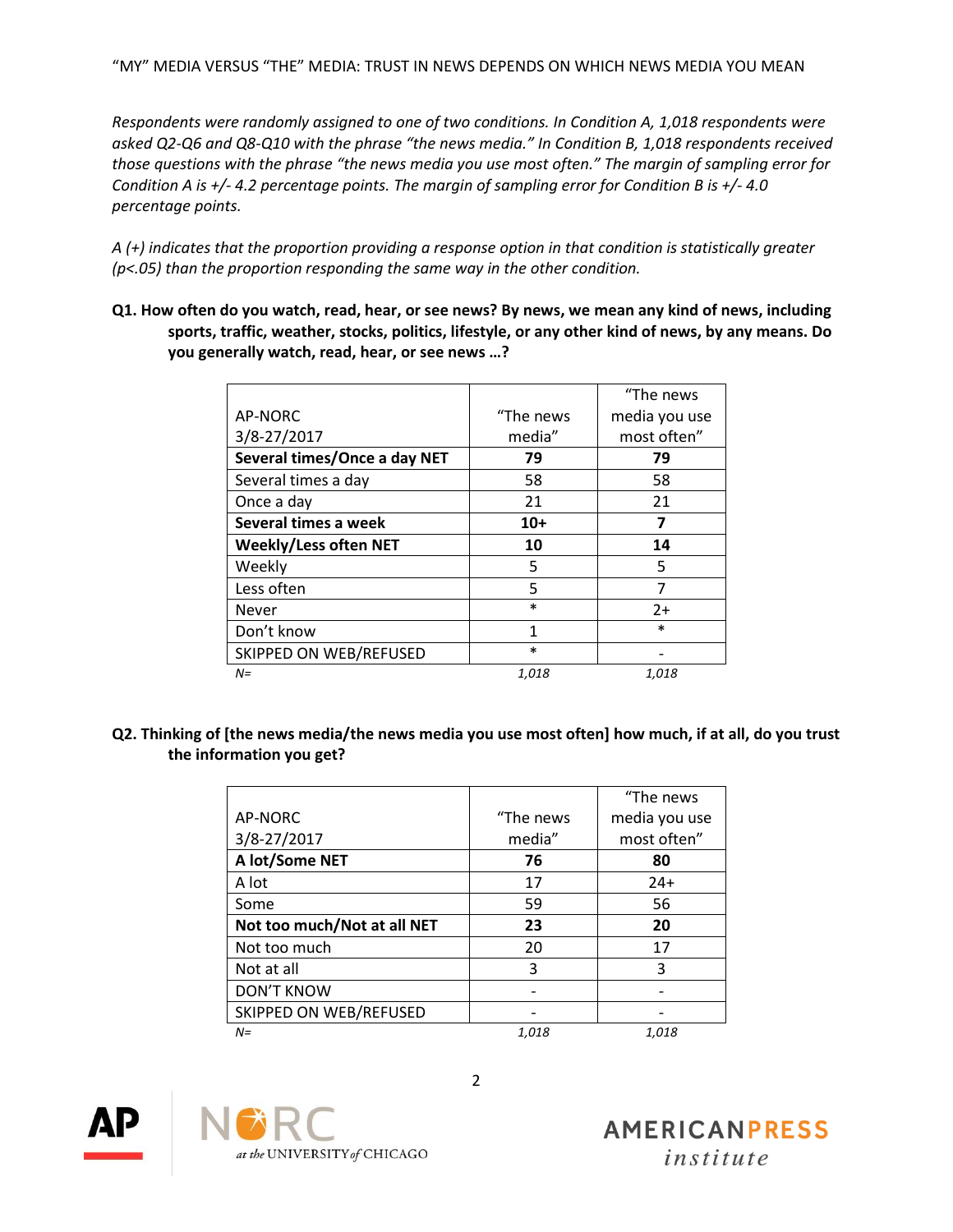*Respondents were randomly assigned to one of two conditions. In Condition A, 1,018 respondents were asked Q2-Q6 and Q8-Q10 with the phrase "the news media." In Condition B, 1,018 respondents received those questions with the phrase "the news media you use most often." The margin of sampling error for Condition A is +/- 4.2 percentage points. The margin of sampling error for Condition B is +/- 4.0 percentage points.*

*A (+) indicates that the proportion providing a response option in that condition is statistically greater (p<.05) than the proportion responding the same way in the other condition.* 

**Q1. How often do you watch, read, hear, or see news? By news, we mean any kind of news, including sports, traffic, weather, stocks, politics, lifestyle, or any other kind of news, by any means. Do you generally watch, read, hear, or see news …?**

|                               |           | "The news     |
|-------------------------------|-----------|---------------|
| AP-NORC                       | "The news | media you use |
| 3/8-27/2017                   | media"    | most often"   |
| Several times/Once a day NET  | 79        | 79            |
| Several times a day           | 58        | 58            |
| Once a day                    | 21        | 21            |
| Several times a week          | $10+$     |               |
| <b>Weekly/Less often NET</b>  | 10        | 14            |
| Weekly                        | 5         | 5             |
| Less often                    | 5         |               |
| Never                         | $\ast$    | $2+$          |
| Don't know                    | 1         | $\ast$        |
| <b>SKIPPED ON WEB/REFUSED</b> | $\ast$    |               |
| $N =$                         | 1,018     | 1,018         |

**Q2. Thinking of [the news media/the news media you use most often] how much, if at all, do you trust the information you get?** 

|                             |           | "The news     |
|-----------------------------|-----------|---------------|
| AP-NORC                     | "The news | media you use |
| 3/8-27/2017                 | media"    | most often"   |
| A lot/Some NET              | 76        | 80            |
| A lot                       | 17        | $24+$         |
| Some                        | 59        | 56            |
| Not too much/Not at all NET | 23        | 20            |
| Not too much                | 20        | 17            |
| Not at all                  | 3         | ς             |
| <b>DON'T KNOW</b>           |           |               |
| SKIPPED ON WEB/REFUSED      |           |               |
| $N =$                       | 1,018     | 1.018         |





2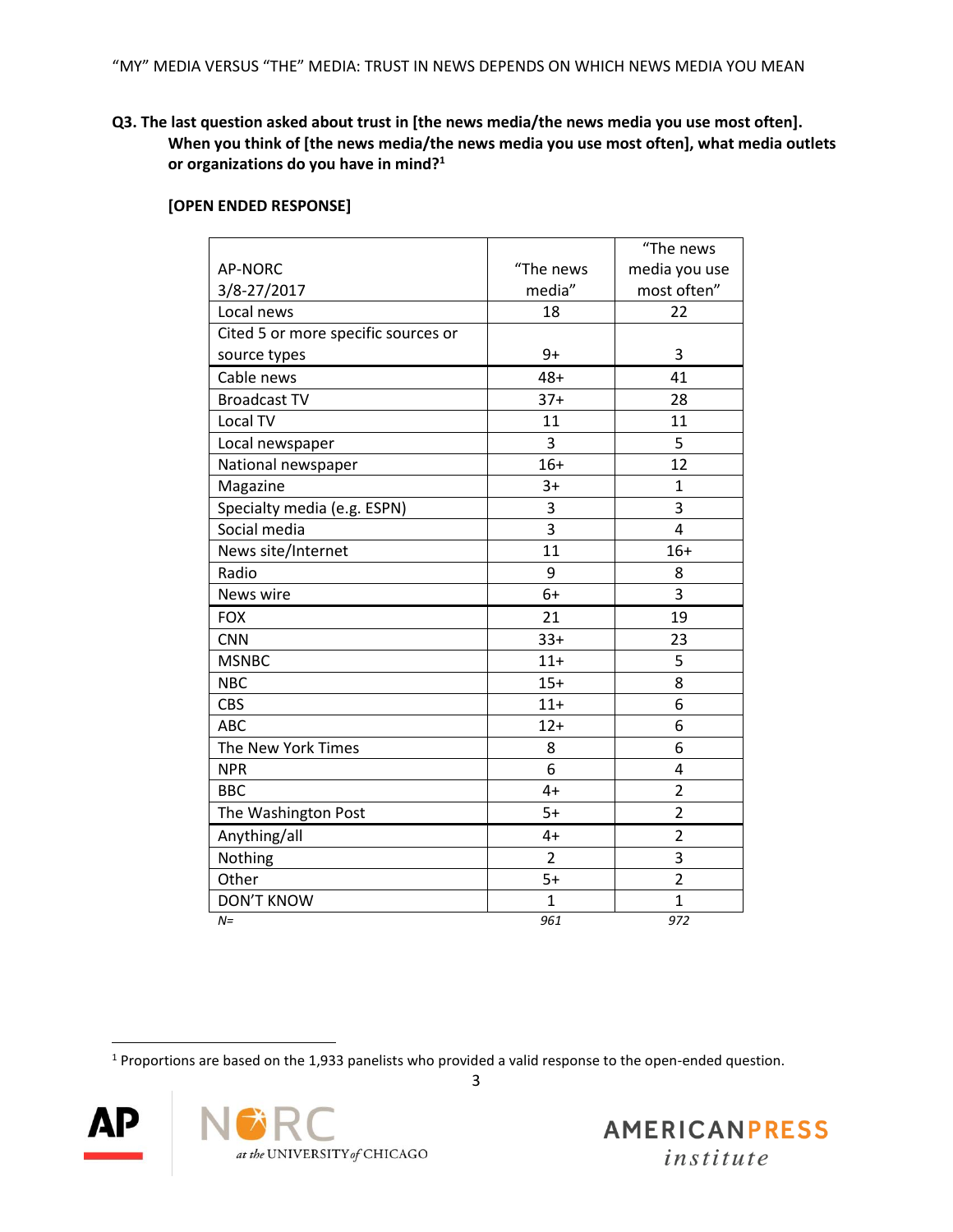**Q3. The last question asked about trust in [the news media/the news media you use most often]. When you think of [the news media/the news media you use most often], what media outlets or organizations do you have in mind?<sup>1</sup>**

#### **[OPEN ENDED RESPONSE]**

|                                     |                | "The news      |
|-------------------------------------|----------------|----------------|
| <b>AP-NORC</b>                      | "The news      | media you use  |
| 3/8-27/2017                         | media"         | most often"    |
| Local news                          | 18             | 22             |
| Cited 5 or more specific sources or |                |                |
| source types                        | 9+             | 3              |
| Cable news                          | $48 +$         | 41             |
| <b>Broadcast TV</b>                 | $37+$          | 28             |
| Local TV                            | 11             | 11             |
| Local newspaper                     | 3              | 5              |
| National newspaper                  | $16+$          | 12             |
| Magazine                            | $3+$           | 1              |
| Specialty media (e.g. ESPN)         | 3              | 3              |
| Social media                        | $\overline{3}$ | 4              |
| News site/Internet                  | 11             | $16+$          |
| Radio                               | 9              | 8              |
| News wire                           | $6+$           | 3              |
| <b>FOX</b>                          | 21             | 19             |
| <b>CNN</b>                          | $33+$          | 23             |
| <b>MSNBC</b>                        | $11 +$         | 5              |
| <b>NBC</b>                          | $15+$          | 8              |
| <b>CBS</b>                          | $11+$          | 6              |
| <b>ABC</b>                          | $12+$          | 6              |
| The New York Times                  | 8              | 6              |
| <b>NPR</b>                          | 6              | 4              |
| <b>BBC</b>                          | $4+$           | $\overline{2}$ |
| The Washington Post                 | $5+$           | $\overline{2}$ |
| Anything/all                        | 4+             | $\overline{2}$ |
| Nothing                             | $\overline{2}$ | 3              |
| Other                               | $5+$           | $\overline{2}$ |
| <b>DON'T KNOW</b>                   | $\mathbf{1}$   | $\mathbf{1}$   |
| $N =$                               | 961            | 972            |

<sup>1</sup> Proportions are based on the 1,933 panelists who provided a valid response to the open-ended question.

3



 $\overline{a}$ 

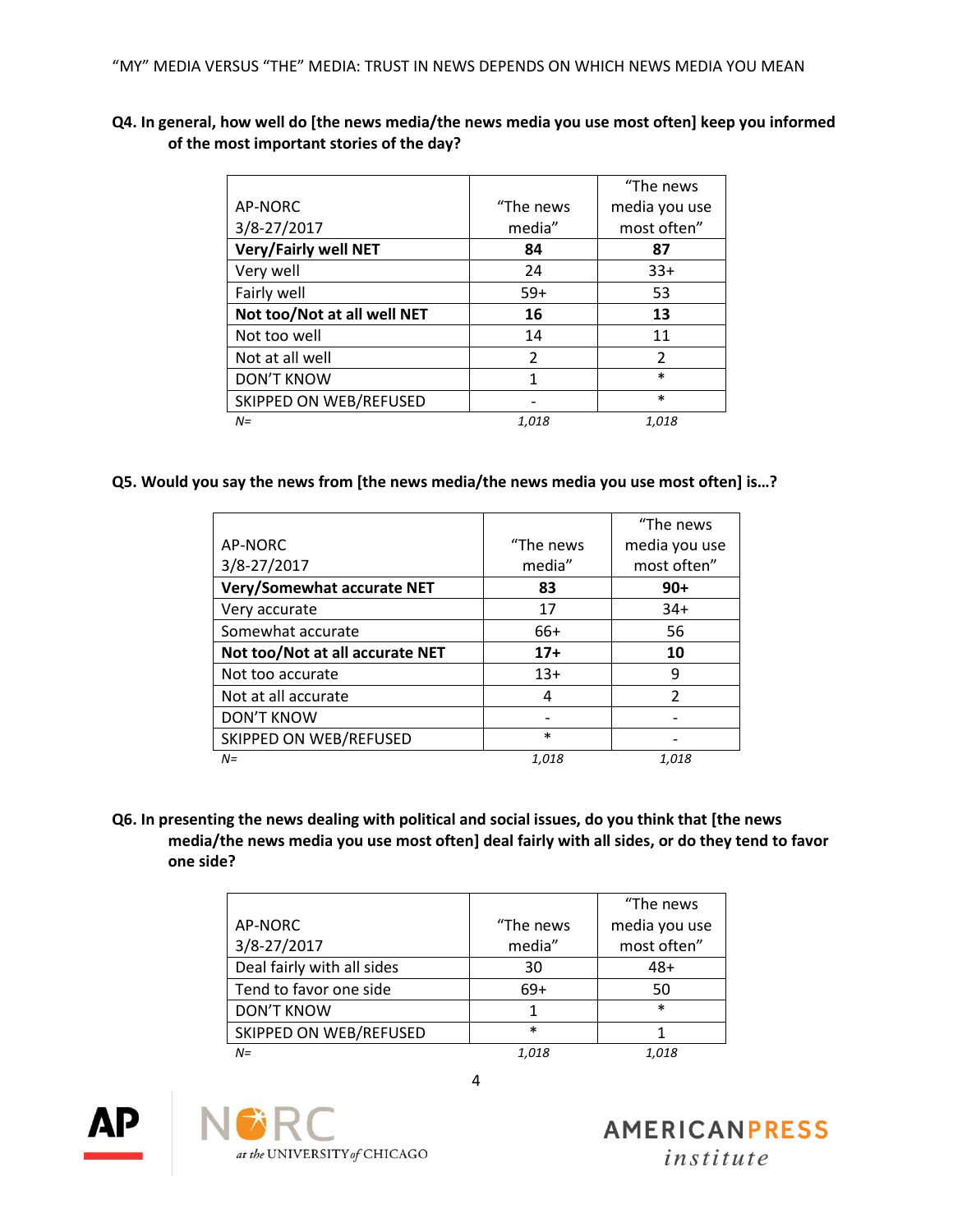**Q4. In general, how well do [the news media/the news media you use most often] keep you informed of the most important stories of the day?**

|                             |                | "The news     |
|-----------------------------|----------------|---------------|
| AP-NORC                     | "The news      | media you use |
| 3/8-27/2017                 | media"         | most often"   |
| <b>Very/Fairly well NET</b> | 84             | 87            |
| Very well                   | 24             | $33+$         |
| Fairly well                 | $59+$          | 53            |
| Not too/Not at all well NET | 16             | 13            |
| Not too well                | 14             | 11            |
| Not at all well             | $\overline{2}$ | $\mathcal{P}$ |
| <b>DON'T KNOW</b>           | 1              | $\ast$        |
| SKIPPED ON WEB/REFUSED      |                | $\ast$        |
| $N =$                       | 1,018          | 1,018         |

#### **Q5. Would you say the news from [the news media/the news media you use most often] is…?**

|                                 |           | "The news     |
|---------------------------------|-----------|---------------|
| AP-NORC                         | "The news | media you use |
| 3/8-27/2017                     | media"    | most often"   |
| Very/Somewhat accurate NET      | 83        | $90+$         |
| Very accurate                   | 17        | $34+$         |
| Somewhat accurate               | 66+       | 56            |
| Not too/Not at all accurate NET | $17+$     | 10            |
| Not too accurate                | $13+$     | 9             |
| Not at all accurate             | 4         | $\mathcal{P}$ |
| <b>DON'T KNOW</b>               |           |               |
| SKIPPED ON WEB/REFUSED          | $\ast$    |               |
| $N =$                           | 1.018     | 1.018         |

**Q6. In presenting the news dealing with political and social issues, do you think that [the news media/the news media you use most often] deal fairly with all sides, or do they tend to favor one side?**

|                            |           | "The news     |
|----------------------------|-----------|---------------|
| AP-NORC                    | "The news | media you use |
| 3/8-27/2017                | media"    | most often"   |
| Deal fairly with all sides | 30        | 48+           |
| Tend to favor one side     | $69+$     | 50            |
| <b>DON'T KNOW</b>          |           | $\ast$        |
| SKIPPED ON WEB/REFUSED     | $\ast$    |               |
| $N =$                      | 1.018     | 1.018         |



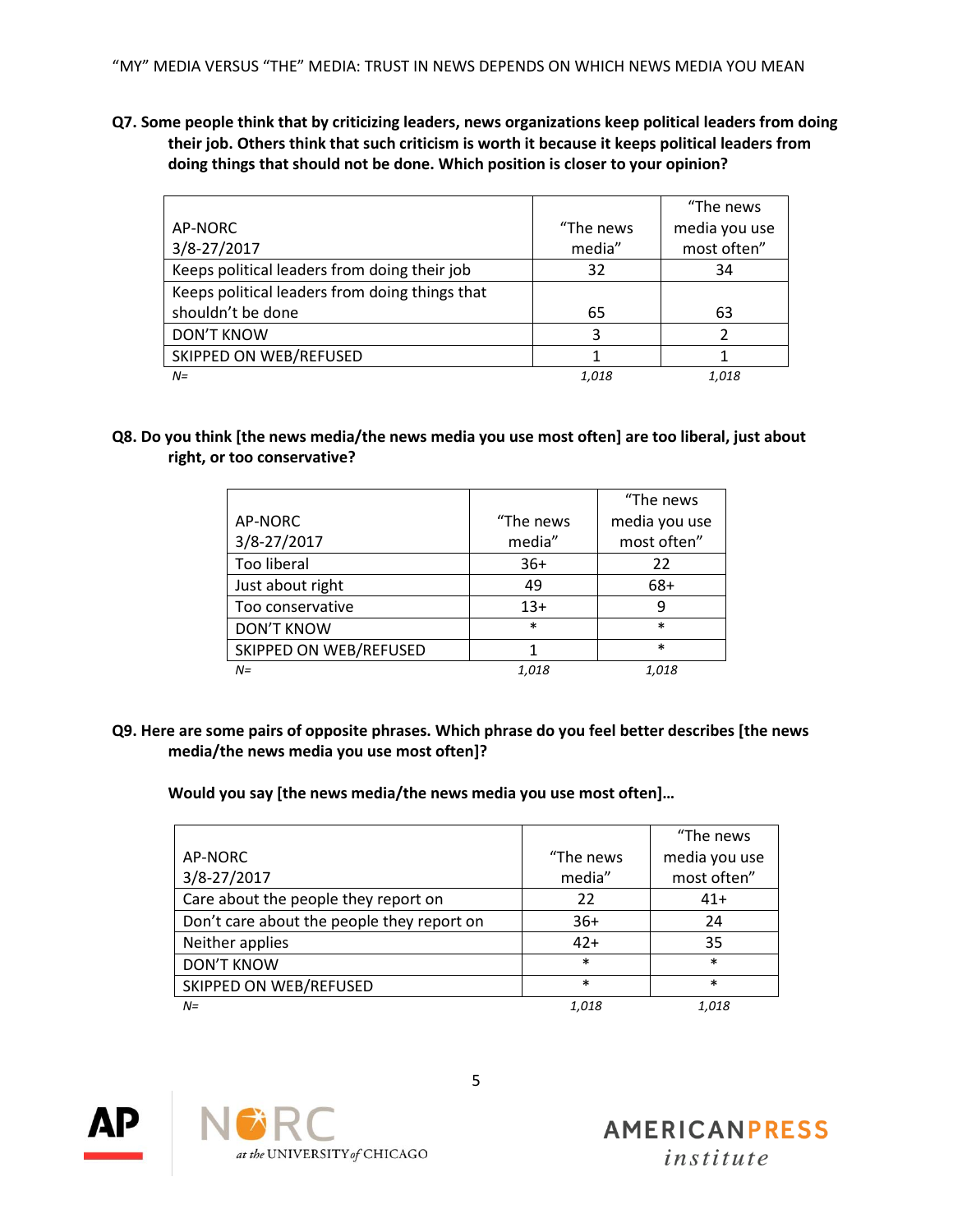**Q7. Some people think that by criticizing leaders, news organizations keep political leaders from doing their job. Others think that such criticism is worth it because it keeps political leaders from doing things that should not be done. Which position is closer to your opinion?** 

|                                                |           | "The news     |
|------------------------------------------------|-----------|---------------|
| AP-NORC                                        | "The news | media you use |
| 3/8-27/2017                                    | media"    | most often"   |
| Keeps political leaders from doing their job   | 32        | 34            |
| Keeps political leaders from doing things that |           |               |
| shouldn't be done                              | 65        | 63            |
| <b>DON'T KNOW</b>                              | 3         |               |
| SKIPPED ON WEB/REFUSED                         |           |               |
| $N =$                                          | 1,018     | 1,018         |

**Q8. Do you think [the news media/the news media you use most often] are too liberal, just about right, or too conservative?**

|                        |           | "The news     |
|------------------------|-----------|---------------|
| AP-NORC                | "The news | media you use |
| 3/8-27/2017            | media"    | most often"   |
| Too liberal            | $36+$     | 22            |
| Just about right       | 49        | 68+           |
| Too conservative       | $13+$     |               |
| <b>DON'T KNOW</b>      | $\ast$    | $\ast$        |
| SKIPPED ON WEB/REFUSED |           | $\ast$        |
| $N =$                  | 1,018     | 1.018         |

**Q9. Here are some pairs of opposite phrases. Which phrase do you feel better describes [the news media/the news media you use most often]?**

**Would you say [the news media/the news media you use most often]…**

|                                            |           | "The news     |
|--------------------------------------------|-----------|---------------|
| AP-NORC                                    | "The news | media you use |
| 3/8-27/2017                                | media"    | most often"   |
| Care about the people they report on       | 22        | $41+$         |
| Don't care about the people they report on | $36+$     | 24            |
| Neither applies                            | $42+$     | 35            |
| <b>DON'T KNOW</b>                          | $\ast$    | $\ast$        |
| SKIPPED ON WEB/REFUSED                     | $\ast$    | $\ast$        |
| $N =$                                      | 1,018     | 1,018         |



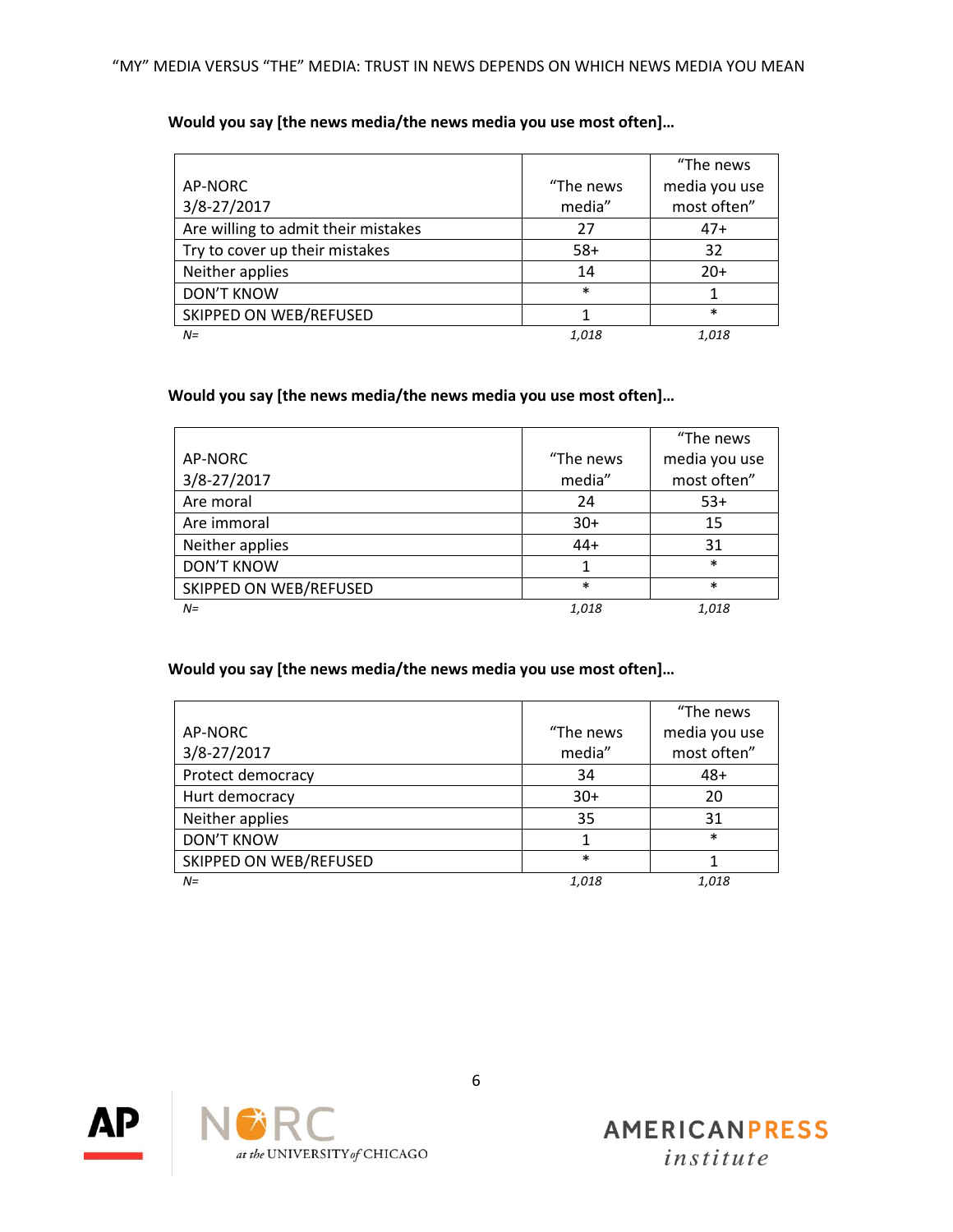# **Would you say [the news media/the news media you use most often]…**

|                                     |           | "The news     |
|-------------------------------------|-----------|---------------|
| AP-NORC                             | "The news | media you use |
| 3/8-27/2017                         | media"    | most often"   |
| Are willing to admit their mistakes | 27        | $47+$         |
| Try to cover up their mistakes      | $58+$     | 32            |
| Neither applies                     | 14        | $20+$         |
| <b>DON'T KNOW</b>                   | $\ast$    |               |
| SKIPPED ON WEB/REFUSED              |           | $\ast$        |
| $N =$                               | 1,018     | 1.018         |

#### **Would you say [the news media/the news media you use most often]…**

|                        |           | "The news     |
|------------------------|-----------|---------------|
| AP-NORC                | "The news | media you use |
| 3/8-27/2017            | media"    | most often"   |
| Are moral              | 24        | $53+$         |
| Are immoral            | $30+$     | 15            |
| Neither applies        | $44+$     | 31            |
| <b>DON'T KNOW</b>      |           | $\ast$        |
| SKIPPED ON WEB/REFUSED | $\ast$    | $\ast$        |
| $N =$                  | 1,018     | 1,018         |

## **Would you say [the news media/the news media you use most often]…**

|                        |           | "The news     |
|------------------------|-----------|---------------|
| AP-NORC                | "The news | media you use |
| 3/8-27/2017            | media"    | most often"   |
| Protect democracy      | 34        | $48+$         |
| Hurt democracy         | $30+$     | 20            |
| Neither applies        | 35        | 31            |
| <b>DON'T KNOW</b>      |           | $\ast$        |
| SKIPPED ON WEB/REFUSED | $\ast$    |               |
| N=                     | 1,018     | 1,018         |



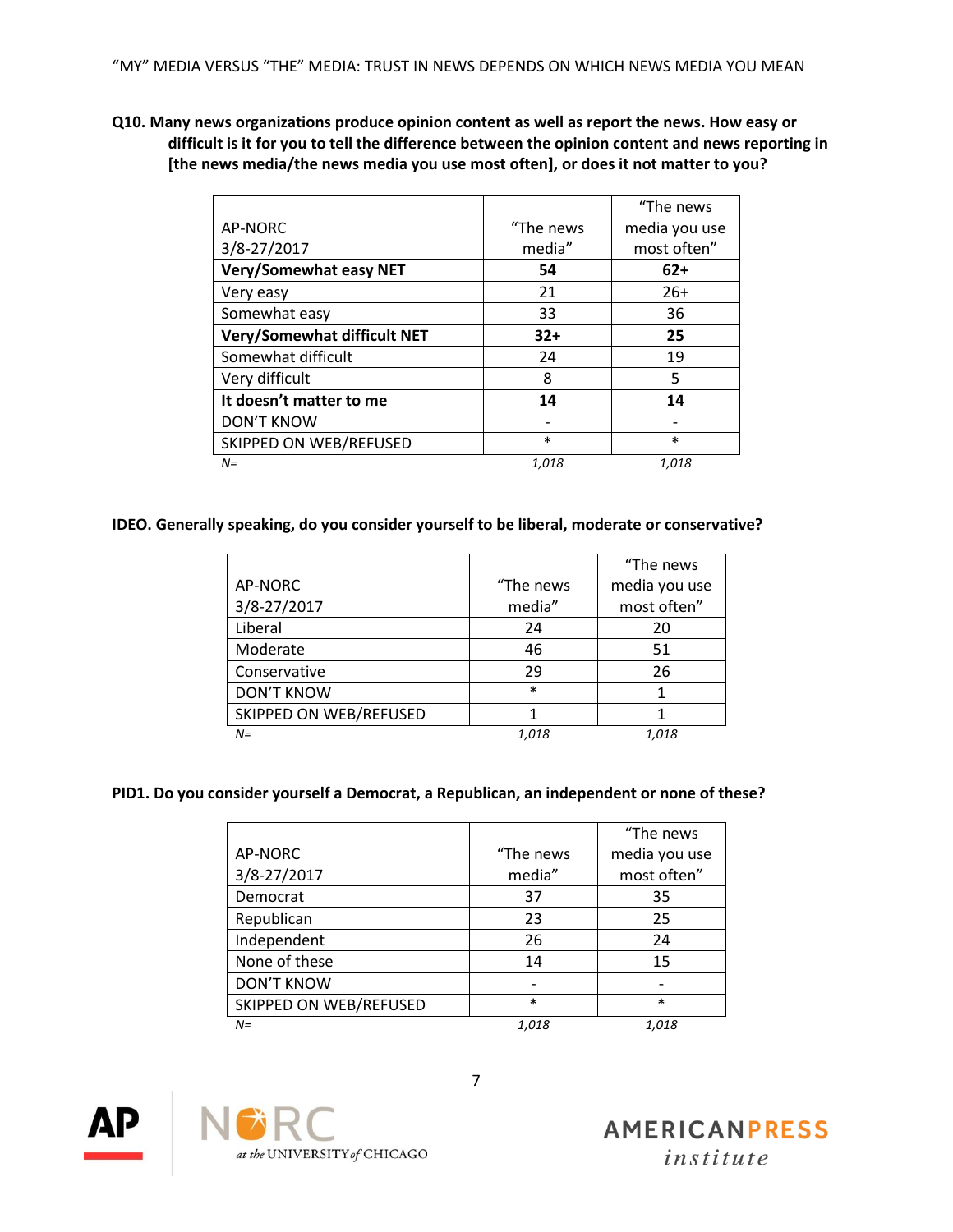**Q10. Many news organizations produce opinion content as well as report the news. How easy or difficult is it for you to tell the difference between the opinion content and news reporting in [the news media/the news media you use most often], or does it not matter to you?**

|                               |           | "The news     |
|-------------------------------|-----------|---------------|
| AP-NORC                       | "The news | media you use |
| 3/8-27/2017                   | media"    | most often"   |
| <b>Very/Somewhat easy NET</b> | 54        | $62+$         |
| Very easy                     | 21        | $26+$         |
| Somewhat easy                 | 33        | 36            |
| Very/Somewhat difficult NET   | $32+$     | 25            |
| Somewhat difficult            | 24        | 19            |
| Very difficult                | 8         | 5             |
| It doesn't matter to me       | 14        | 14            |
| <b>DON'T KNOW</b>             |           |               |
| SKIPPED ON WEB/REFUSED        | $\ast$    | $\ast$        |
| $N =$                         | 1.018     | 1,018         |

#### **IDEO. Generally speaking, do you consider yourself to be liberal, moderate or conservative?**

|                        |           | "The news     |
|------------------------|-----------|---------------|
| AP-NORC                | "The news | media you use |
| 3/8-27/2017            | media"    | most often"   |
| Liberal                | 24        | 20            |
| Moderate               | 46        | 51            |
| Conservative           | 29        | 26            |
| <b>DON'T KNOW</b>      | $\ast$    |               |
| SKIPPED ON WEB/REFUSED |           |               |
| $N =$                  | 1,018     | 1,018         |

#### **PID1. Do you consider yourself a Democrat, a Republican, an independent or none of these?**

|                        |           | "The news     |
|------------------------|-----------|---------------|
| AP-NORC                | "The news | media you use |
| 3/8-27/2017            | media"    | most often"   |
| Democrat               | 37        | 35            |
| Republican             | 23        | 25            |
| Independent            | 26        | 24            |
| None of these          | 14        | 15            |
| <b>DON'T KNOW</b>      |           |               |
| SKIPPED ON WEB/REFUSED | $\ast$    | $\ast$        |
| $N =$                  | 1,018     | 1,018         |



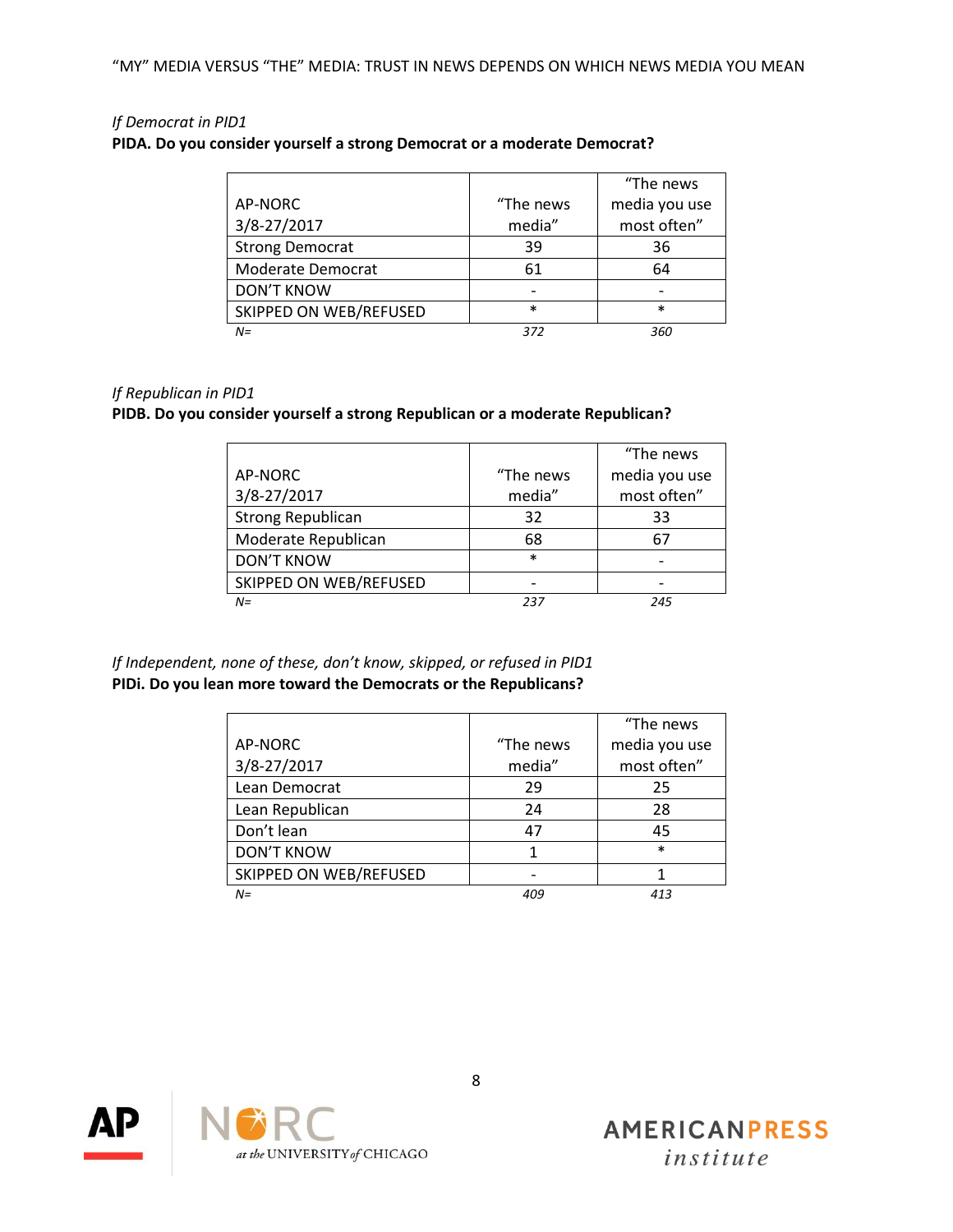# *If Democrat in PID1*

## **PIDA. Do you consider yourself a strong Democrat or a moderate Democrat?**

|                        |           | "The news     |
|------------------------|-----------|---------------|
| AP-NORC                | "The news | media you use |
| 3/8-27/2017            | media"    | most often"   |
| <b>Strong Democrat</b> | 39        | 36            |
| Moderate Democrat      | 61        | 64            |
| <b>DON'T KNOW</b>      |           |               |
| SKIPPED ON WEB/REFUSED | $\ast$    | $\ast$        |
| $N =$                  | 372       | 360           |

## *If Republican in PID1*

# **PIDB. Do you consider yourself a strong Republican or a moderate Republican?**

|                          |           | "The news     |
|--------------------------|-----------|---------------|
| AP-NORC                  | "The news | media you use |
| 3/8-27/2017              | media"    | most often"   |
| <b>Strong Republican</b> | 32        | 33            |
| Moderate Republican      | 68        | 67            |
| <b>DON'T KNOW</b>        | $\ast$    |               |
| SKIPPED ON WEB/REFUSED   |           |               |
| $N =$                    | 237       | 245           |

# *If Independent, none of these, don't know, skipped, or refused in PID1* **PIDi. Do you lean more toward the Democrats or the Republicans?**

|                        |           | "The news     |
|------------------------|-----------|---------------|
| AP-NORC                | "The news | media you use |
| 3/8-27/2017            | media"    | most often"   |
| Lean Democrat          | 29        | 25            |
| Lean Republican        | 24        | 28            |
| Don't lean             | 47        | 45            |
| <b>DON'T KNOW</b>      |           | $\ast$        |
| SKIPPED ON WEB/REFUSED |           |               |
| $N =$                  | 409       | 413           |



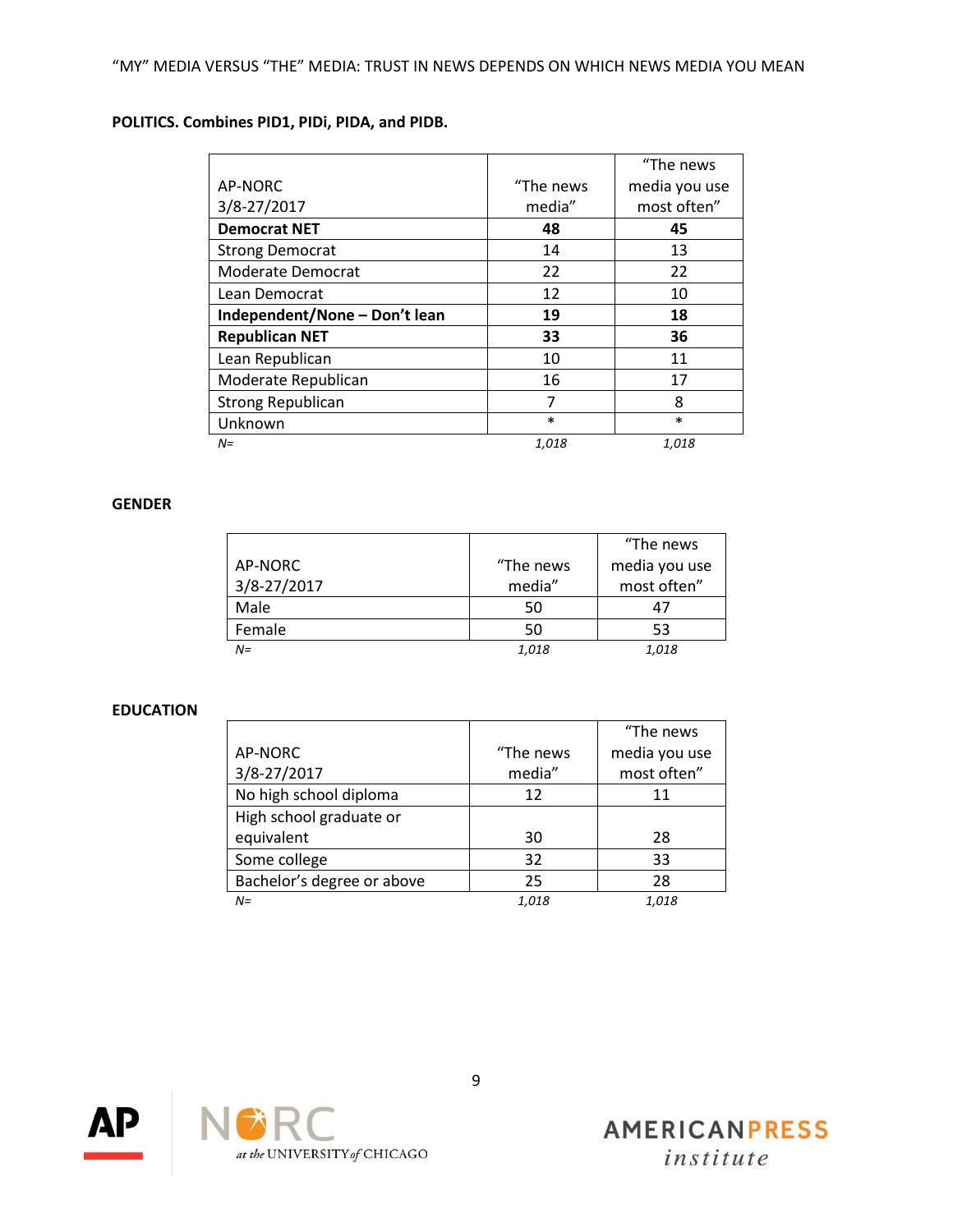# **POLITICS. Combines PID1, PIDi, PIDA, and PIDB.**

|                               |           | "The news     |
|-------------------------------|-----------|---------------|
| AP-NORC                       | "The news | media you use |
| 3/8-27/2017                   | media"    | most often"   |
| <b>Democrat NET</b>           | 48        | 45            |
| <b>Strong Democrat</b>        | 14        | 13            |
| Moderate Democrat             | 22        | 22            |
| Lean Democrat                 | 12        | 10            |
| Independent/None - Don't lean | 19        | 18            |
| <b>Republican NET</b>         | 33        | 36            |
| Lean Republican               | 10        | 11            |
| Moderate Republican           | 16        | 17            |
| <b>Strong Republican</b>      | 7         | 8             |
| Unknown                       | $\ast$    | $\ast$        |
| $N =$                         | 1,018     | 1,018         |

### **GENDER**

|             |           | "The news     |
|-------------|-----------|---------------|
| AP-NORC     | "The news | media you use |
| 3/8-27/2017 | media"    | most often"   |
| Male        | 50        | 47            |
| Female      | 50        | 53            |
| $N =$       | 1,018     | 1,018         |

#### **EDUCATION**

|                            |           | "The news     |
|----------------------------|-----------|---------------|
| AP-NORC                    | "The news | media you use |
| 3/8-27/2017                | media"    | most often"   |
| No high school diploma     | 12        | 11            |
| High school graduate or    |           |               |
| equivalent                 | 30        | 28            |
| Some college               | 32        | 33            |
| Bachelor's degree or above | 25        | 28            |
| $N =$                      | 1,018     | 1,018         |



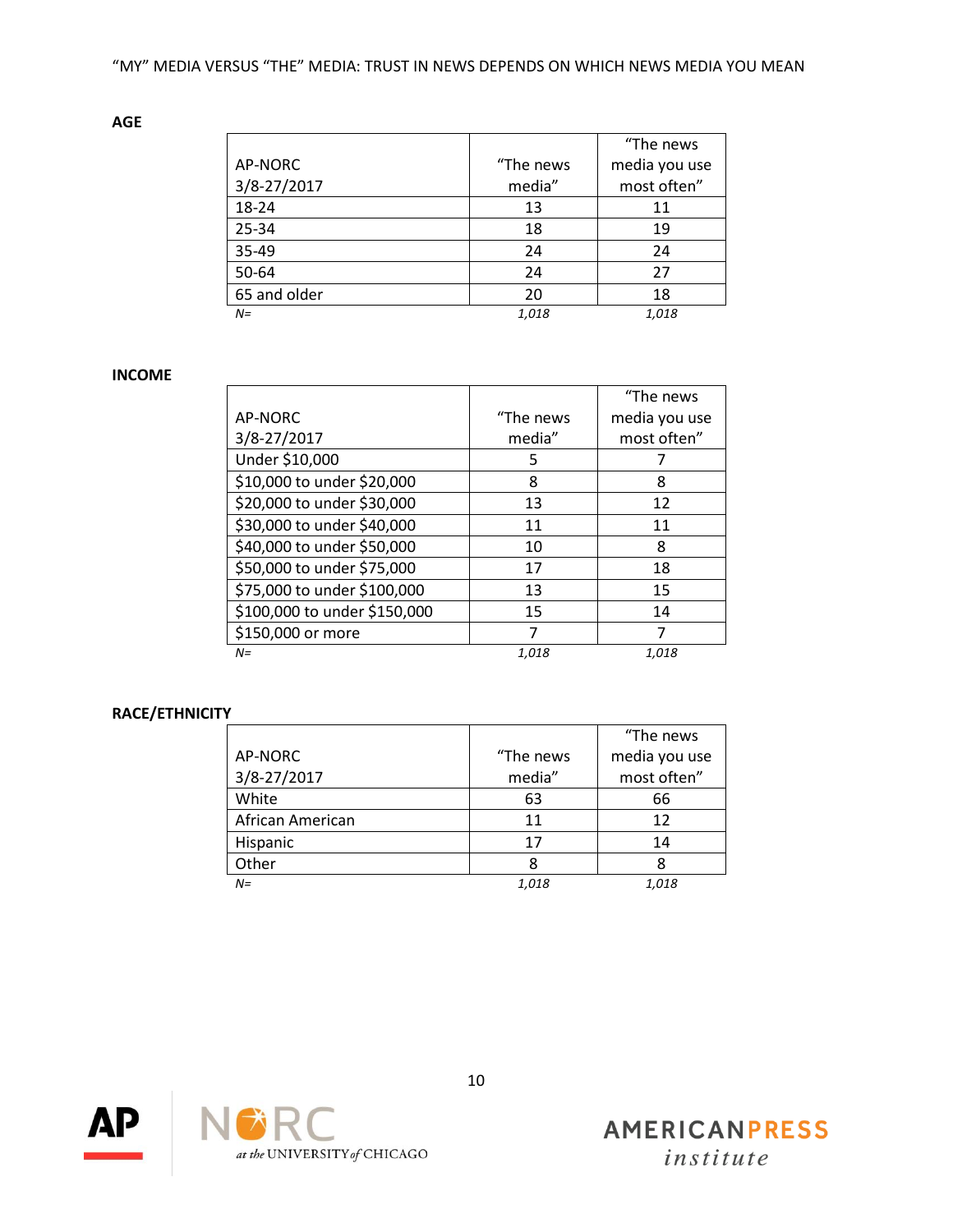## **AGE**

|              |           | "The news     |
|--------------|-----------|---------------|
| AP-NORC      | "The news | media you use |
| 3/8-27/2017  | media"    | most often"   |
| 18-24        | 13        | 11            |
| 25-34        | 18        | 19            |
| 35-49        | 24        | 24            |
| 50-64        | 24        | 27            |
| 65 and older | 20        | 18            |
| $N =$        | 1,018     | 1,018         |

#### **INCOME**

|                              |           | "The news     |
|------------------------------|-----------|---------------|
| AP-NORC                      | "The news | media you use |
| 3/8-27/2017                  | media"    | most often"   |
| Under \$10,000               | 5         |               |
| \$10,000 to under \$20,000   | 8         | 8             |
| \$20,000 to under \$30,000   | 13        | 12            |
| \$30,000 to under \$40,000   | 11        | 11            |
| \$40,000 to under \$50,000   | 10        | 8             |
| \$50,000 to under \$75,000   | 17        | 18            |
| \$75,000 to under \$100,000  | 13        | 15            |
| \$100,000 to under \$150,000 | 15        | 14            |
| \$150,000 or more            | 7         |               |
| $N =$                        | 1,018     | 1,018         |

# **RACE/ETHNICITY**

|                  |           | "The news     |
|------------------|-----------|---------------|
| AP-NORC          | "The news | media you use |
| 3/8-27/2017      | media"    | most often"   |
| White            | 63        | 66            |
| African American | 11        | 12            |
| Hispanic         | 17        | 14            |
| Other            | 8         | 8             |
| $N =$            | 1,018     | 1,018         |